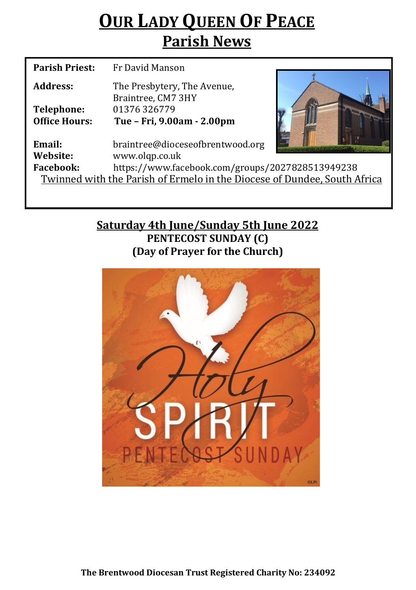# **OUR LADY QUEEN OF PEACE Parish News**

| <b>Parish Priest:</b>                                                    | Fr David Manson                                   |  |  |  |
|--------------------------------------------------------------------------|---------------------------------------------------|--|--|--|
| Address:                                                                 | The Presbytery, The Avenue,<br>Braintree, CM7 3HY |  |  |  |
| Telephone:                                                               | 01376 326779                                      |  |  |  |
| <b>Office Hours:</b>                                                     | Tue - Fri, 9.00am - 2.00pm                        |  |  |  |
| Email:                                                                   | braintree@dioceseofbrentwood.org                  |  |  |  |
| Website:                                                                 | www.olqp.co.uk                                    |  |  |  |
| <b>Facebook:</b>                                                         | https://www.facebook.com/groups/2027828513949238  |  |  |  |
| Twinned with the Parish of Ermelo in the Diocese of Dundee, South Africa |                                                   |  |  |  |
|                                                                          |                                                   |  |  |  |

## **Saturday 4th June/Sunday 5th June 2022 PENTECOST SUNDAY (C) (Day of Prayer for the Church)**

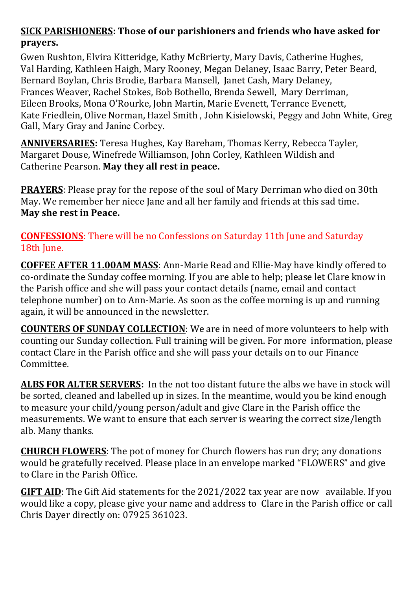### **SICK PARISHIONERS: Those of our parishioners and friends who have asked for prayers.**

Gwen Rushton, Elvira Kitteridge, Kathy McBrierty, Mary Davis, Catherine Hughes, Val Harding, Kathleen Haigh, Mary Rooney, Megan Delaney, Isaac Barry, Peter Beard, Bernard Boylan, Chris Brodie, Barbara Mansell, Janet Cash, Mary Delaney, Frances Weaver, Rachel Stokes, Bob Bothello, Brenda Sewell, Mary Derriman, Eileen Brooks, Mona O'Rourke, John Martin, Marie Evenett, Terrance Evenett, Kate Friedlein, Olive Norman, Hazel Smith , John Kisielowski, Peggy and John White, Greg Gall, Mary Gray and Janine Corbey.

**ANNIVERSARIES:** Teresa Hughes, Kay Bareham, Thomas Kerry, Rebecca Tayler, Margaret Douse, Winefrede Williamson, John Corley, Kathleen Wildish and Catherine Pearson. **May they all rest in peace.** 

**PRAYERS**: Please pray for the repose of the soul of Mary Derriman who died on 30th May. We remember her niece Jane and all her family and friends at this sad time. **May she rest in Peace.**

**CONFESSIONS**: There will be no Confessions on Saturday 11th June and Saturday 18th June.

**COFFEE AFTER 11.00AM MASS**: Ann-Marie Read and Ellie-May have kindly offered to co-ordinate the Sunday coffee morning. If you are able to help; please let Clare know in the Parish office and she will pass your contact details (name, email and contact telephone number) on to Ann-Marie. As soon as the coffee morning is up and running again, it will be announced in the newsletter.

**COUNTERS OF SUNDAY COLLECTION**: We are in need of more volunteers to help with counting our Sunday collection. Full training will be given. For more information, please contact Clare in the Parish office and she will pass your details on to our Finance Committee.

**ALBS FOR ALTER SERVERS:** In the not too distant future the albs we have in stock will be sorted, cleaned and labelled up in sizes. In the meantime, would you be kind enough to measure your child/young person/adult and give Clare in the Parish office the measurements. We want to ensure that each server is wearing the correct size/length alb. Many thanks.

**CHURCH FLOWERS**: The pot of money for Church flowers has run dry; any donations would be gratefully received. Please place in an envelope marked "FLOWERS" and give to Clare in the Parish Office.

**GIFT AID**: The Gift Aid statements for the 2021/2022 tax year are now available. If you would like a copy, please give your name and address to Clare in the Parish office or call Chris Dayer directly on: 07925 361023.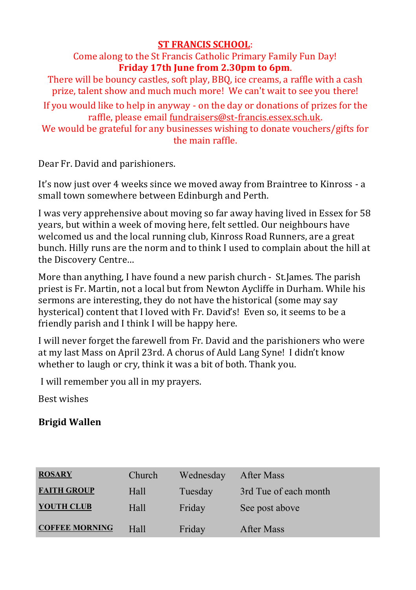#### **ST FRANCIS SCHOOL**:

Come along to the St Francis Catholic Primary Family Fun Day! **Friday 17th June from 2.30pm to 6pm**.

There will be bouncy castles, soft play, BBQ, ice creams, a raffle with a cash prize, talent show and much much more! We can't wait to see you there!

If you would like to help in anyway - on the day or donations of prizes for the raffle, please email fundraisers@st-[francis.essex.sch.uk.](mailto:fundraisers@st-francis.essex.sch.uk) 

We would be grateful for any businesses wishing to donate vouchers/gifts for the main raffle.

Dear Fr. David and parishioners.

It's now just over 4 weeks since we moved away from Braintree to Kinross - a small town somewhere between Edinburgh and Perth.

I was very apprehensive about moving so far away having lived in Essex for 58 years, but within a week of moving here, felt settled. Our neighbours have welcomed us and the local running club, Kinross Road Runners, are a great bunch. Hilly runs are the norm and to think I used to complain about the hill at the Discovery Centre…

More than anything, I have found a new parish church - St.James. The parish priest is Fr. Martin, not a local but from Newton Aycliffe in Durham. While his sermons are interesting, they do not have the historical (some may say hysterical) content that I loved with Fr. David's! Even so, it seems to be a friendly parish and I think I will be happy here.

I will never forget the farewell from Fr. David and the parishioners who were at my last Mass on April 23rd. A chorus of Auld Lang Syne! I didn't know whether to laugh or cry, think it was a bit of both. Thank you.

I will remember you all in my prayers.

Best wishes

## **Brigid Wallen**

| <b>ROSARY</b>         | Church | Wednesday | After Mass            |
|-----------------------|--------|-----------|-----------------------|
| <b>FAITH GROUP</b>    | Hall   | Tuesday   | 3rd Tue of each month |
| YOUTH CLUB            | Hall   | Friday    | See post above        |
| <b>COFFEE MORNING</b> | Hall   | Friday    | After Mass            |